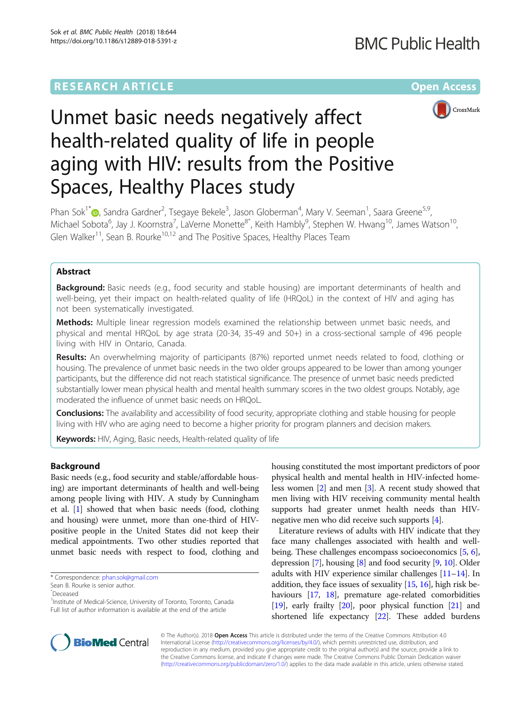# **RESEARCH ARTICLE External Structure Community Community Community Community Community Community Community Community**



# Unmet basic needs negatively affect health-related quality of life in people aging with HIV: results from the Positive Spaces, Healthy Places study

Phan Sok<sup>1[\\*](http://orcid.org/0000-0001-7817-1756)</sup> , Sandra Gardner<sup>2</sup>, Tsegaye Bekele<sup>3</sup>, Jason Globerman<sup>4</sup>, Mary V. Seeman<sup>1</sup>, Saara Greene<sup>5,9</sup>, Michael Sobota<sup>6</sup>, Jay J. Koornstra<sup>7</sup>, LaVerne Monette<sup>8^</sup>, Keith Hambly<sup>9</sup>, Stephen W. Hwang<sup>10</sup>, James Watson<sup>10</sup>, Glen Walker<sup>11</sup>, Sean B. Rourke<sup>10,12</sup> and The Positive Spaces, Healthy Places Team

# Abstract

**Background:** Basic needs (e.g., food security and stable housing) are important determinants of health and well-being, yet their impact on health-related quality of life (HRQoL) in the context of HIV and aging has not been systematically investigated.

Methods: Multiple linear regression models examined the relationship between unmet basic needs, and physical and mental HRQoL by age strata (20-34, 35-49 and 50+) in a cross-sectional sample of 496 people living with HIV in Ontario, Canada.

Results: An overwhelming majority of participants (87%) reported unmet needs related to food, clothing or housing. The prevalence of unmet basic needs in the two older groups appeared to be lower than among younger participants, but the difference did not reach statistical significance. The presence of unmet basic needs predicted substantially lower mean physical health and mental health summary scores in the two oldest groups. Notably, age moderated the influence of unmet basic needs on HRQoL.

Conclusions: The availability and accessibility of food security, appropriate clothing and stable housing for people living with HIV who are aging need to become a higher priority for program planners and decision makers.

Keywords: HIV, Aging, Basic needs, Health-related quality of life

### Background

Basic needs (e.g., food security and stable/affordable housing) are important determinants of health and well-being among people living with HIV. A study by Cunningham et al. [\[1\]](#page-8-0) showed that when basic needs (food, clothing and housing) were unmet, more than one-third of HIVpositive people in the United States did not keep their medical appointments. Two other studies reported that unmet basic needs with respect to food, clothing and

housing constituted the most important predictors of poor physical health and mental health in HIV-infected homeless women [\[2](#page-8-0)] and men [\[3\]](#page-8-0). A recent study showed that men living with HIV receiving community mental health supports had greater unmet health needs than HIVnegative men who did receive such supports [[4](#page-8-0)].

Literature reviews of adults with HIV indicate that they face many challenges associated with health and wellbeing. These challenges encompass socioeconomics [[5,](#page-8-0) [6](#page-8-0)], depression [\[7\]](#page-8-0), housing [\[8\]](#page-8-0) and food security [\[9](#page-8-0), [10\]](#page-8-0). Older adults with HIV experience similar challenges [[11](#page-8-0)–[14\]](#page-8-0). In addition, they face issues of sexuality [[15](#page-8-0), [16\]](#page-8-0), high risk be-haviours [[17](#page-8-0), [18](#page-8-0)], premature age-related comorbidities [[19](#page-8-0)], early frailty [\[20\]](#page-8-0), poor physical function [[21](#page-8-0)] and shortened life expectancy [[22](#page-8-0)]. These added burdens



© The Author(s). 2018 Open Access This article is distributed under the terms of the Creative Commons Attribution 4.0 International License [\(http://creativecommons.org/licenses/by/4.0/](http://creativecommons.org/licenses/by/4.0/)), which permits unrestricted use, distribution, and reproduction in any medium, provided you give appropriate credit to the original author(s) and the source, provide a link to the Creative Commons license, and indicate if changes were made. The Creative Commons Public Domain Dedication waiver [\(http://creativecommons.org/publicdomain/zero/1.0/](http://creativecommons.org/publicdomain/zero/1.0/)) applies to the data made available in this article, unless otherwise stated.

<sup>\*</sup> Correspondence: [phan.sok@gmail.com](mailto:phan.sok@gmail.com)

Sean B. Rourke is senior author.

ˆDeceased

<sup>&</sup>lt;sup>1</sup>Institute of Medical-Science, University of Toronto, Toronto, Canada Full list of author information is available at the end of the article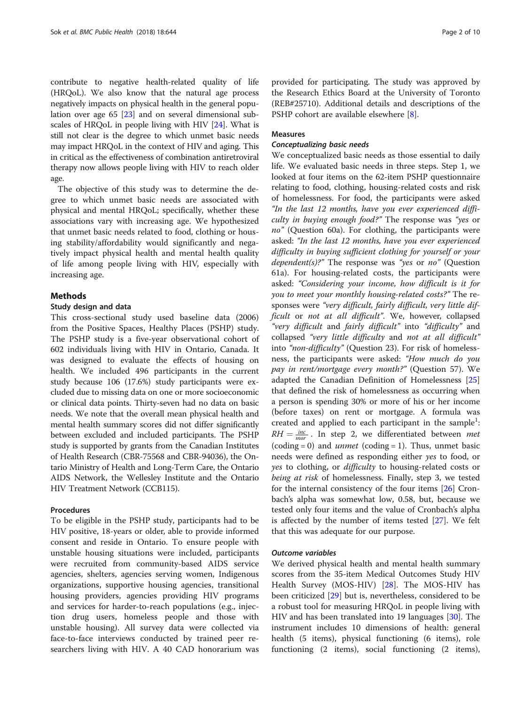contribute to negative health-related quality of life (HRQoL). We also know that the natural age process negatively impacts on physical health in the general population over age 65 [\[23\]](#page-8-0) and on several dimensional subscales of HRQoL in people living with HIV [\[24\]](#page-8-0). What is still not clear is the degree to which unmet basic needs may impact HRQoL in the context of HIV and aging. This in critical as the effectiveness of combination antiretroviral therapy now allows people living with HIV to reach older age.

The objective of this study was to determine the degree to which unmet basic needs are associated with physical and mental HRQoL; specifically, whether these associations vary with increasing age. We hypothesized that unmet basic needs related to food, clothing or housing stability/affordability would significantly and negatively impact physical health and mental health quality of life among people living with HIV, especially with increasing age.

#### Methods

#### Study design and data

This cross-sectional study used baseline data (2006) from the Positive Spaces, Healthy Places (PSHP) study. The PSHP study is a five-year observational cohort of 602 individuals living with HIV in Ontario, Canada. It was designed to evaluate the effects of housing on health. We included 496 participants in the current study because 106 (17.6%) study participants were excluded due to missing data on one or more socioeconomic or clinical data points. Thirty-seven had no data on basic needs. We note that the overall mean physical health and mental health summary scores did not differ significantly between excluded and included participants. The PSHP study is supported by grants from the Canadian Institutes of Health Research (CBR-75568 and CBR-94036), the Ontario Ministry of Health and Long-Term Care, the Ontario AIDS Network, the Wellesley Institute and the Ontario HIV Treatment Network (CCB115).

#### Procedures

To be eligible in the PSHP study, participants had to be HIV positive, 18-years or older, able to provide informed consent and reside in Ontario. To ensure people with unstable housing situations were included, participants were recruited from community-based AIDS service agencies, shelters, agencies serving women, Indigenous organizations, supportive housing agencies, transitional housing providers, agencies providing HIV programs and services for harder-to-reach populations (e.g., injection drug users, homeless people and those with unstable housing). All survey data were collected via face-to-face interviews conducted by trained peer researchers living with HIV. A 40 CAD honorarium was provided for participating. The study was approved by the Research Ethics Board at the University of Toronto (REB#25710). Additional details and descriptions of the PSHP cohort are available elsewhere [[8\]](#page-8-0).

# Measures

#### Conceptualizing basic needs

We conceptualized basic needs as those essential to daily life. We evaluated basic needs in three steps. Step 1, we looked at four items on the 62-item PSHP questionnaire relating to food, clothing, housing-related costs and risk of homelessness. For food, the participants were asked "In the last 12 months, have you ever experienced difficulty in buying enough food?" The response was "yes or no" (Question 60a). For clothing, the participants were asked: "In the last 12 months, have you ever experienced difficulty in buying sufficient clothing for yourself or your *dependent(s)?*" The response was "yes or no" (Question 61a). For housing-related costs, the participants were asked: "Considering your income, how difficult is it for you to meet your monthly housing-related costs?" The responses were "very difficult, fairly difficult, very little difficult or not at all difficult". We, however, collapsed "very difficult and fairly difficult" into "difficulty" and collapsed "very little difficulty and not at all difficult" into "non-difficulty" (Question 23). For risk of homelessness, the participants were asked: "How much do you pay in rent/mortgage every month?" (Question 57). We adapted the Canadian Definition of Homelessness [[25](#page-8-0)] that defined the risk of homelessness as occurring when a person is spending 30% or more of his or her income (before taxes) on rent or mortgage. A formula was created and applied to each participant in the sample<sup>1</sup>:  $RH = \frac{inc}{mor}$ . In step 2, we differentiated between *met*  $(coding = 0)$  and *unmet*  $(coding = 1)$ . Thus, unmet basic needs were defined as responding either yes to food, or yes to clothing, or *difficulty* to housing-related costs or being at risk of homelessness. Finally, step 3, we tested for the internal consistency of the four items [[26\]](#page-8-0) Cronbach's alpha was somewhat low, 0.58, but, because we tested only four items and the value of Cronbach's alpha is affected by the number of items tested [[27\]](#page-8-0). We felt that this was adequate for our purpose.

#### Outcome variables

We derived physical health and mental health summary scores from the 35-item Medical Outcomes Study HIV Health Survey (MOS-HIV) [[28](#page-8-0)]. The MOS-HIV has been criticized [[29](#page-8-0)] but is, nevertheless, considered to be a robust tool for measuring HRQoL in people living with HIV and has been translated into 19 languages [\[30\]](#page-8-0). The instrument includes 10 dimensions of health: general health (5 items), physical functioning (6 items), role functioning (2 items), social functioning (2 items),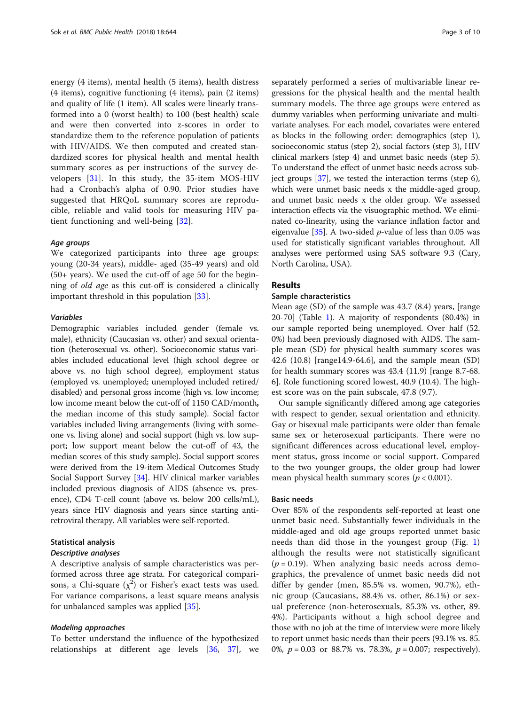energy (4 items), mental health (5 items), health distress (4 items), cognitive functioning (4 items), pain (2 items) and quality of life (1 item). All scales were linearly transformed into a 0 (worst health) to 100 (best health) scale and were then converted into z-scores in order to standardize them to the reference population of patients with HIV/AIDS. We then computed and created standardized scores for physical health and mental health summary scores as per instructions of the survey developers [\[31](#page-8-0)]. In this study, the 35-item MOS-HIV had a Cronbach's alpha of 0.90. Prior studies have suggested that HRQoL summary scores are reproducible, reliable and valid tools for measuring HIV patient functioning and well-being [[32](#page-8-0)].

#### Age groups

We categorized participants into three age groups: young (20-34 years), middle- aged (35-49 years) and old (50+ years). We used the cut-off of age 50 for the beginning of old age as this cut-off is considered a clinically important threshold in this population [[33\]](#page-8-0).

#### Variables

Demographic variables included gender (female vs. male), ethnicity (Caucasian vs. other) and sexual orientation (heterosexual vs. other). Socioeconomic status variables included educational level (high school degree or above vs. no high school degree), employment status (employed vs. unemployed; unemployed included retired/ disabled) and personal gross income (high vs. low income; low income meant below the cut-off of 1150 CAD/month, the median income of this study sample). Social factor variables included living arrangements (living with someone vs. living alone) and social support (high vs. low support; low support meant below the cut-off of 43, the median scores of this study sample). Social support scores were derived from the 19-item Medical Outcomes Study Social Support Survey [\[34\]](#page-8-0). HIV clinical marker variables included previous diagnosis of AIDS (absence vs. presence), CD4 T-cell count (above vs. below 200 cells/mL), years since HIV diagnosis and years since starting antiretroviral therapy. All variables were self-reported.

#### Statistical analysis

#### Descriptive analyses

A descriptive analysis of sample characteristics was performed across three age strata. For categorical comparisons, a Chi-square  $(\chi^2)$  or Fisher's exact tests was used. For variance comparisons, a least square means analysis for unbalanced samples was applied [[35\]](#page-8-0).

#### Modeling approaches

To better understand the influence of the hypothesized relationships at different age levels [\[36](#page-8-0), [37](#page-8-0)], we

separately performed a series of multivariable linear regressions for the physical health and the mental health summary models. The three age groups were entered as dummy variables when performing univariate and multivariate analyses. For each model, covariates were entered as blocks in the following order: demographics (step 1), socioeconomic status (step 2), social factors (step 3), HIV clinical markers (step 4) and unmet basic needs (step 5). To understand the effect of unmet basic needs across subject groups [\[37\]](#page-8-0), we tested the interaction terms (step 6), which were unmet basic needs x the middle-aged group, and unmet basic needs x the older group. We assessed interaction effects via the visuographic method. We eliminated co-linearity, using the variance inflation factor and eigenvalue [ $35$ ]. A two-sided *p*-value of less than 0.05 was used for statistically significant variables throughout. All analyses were performed using SAS software 9.3 (Cary, North Carolina, USA).

#### Results

#### Sample characteristics

Mean age (SD) of the sample was 43.7 (8.4) years, [range 20-70] (Table [1](#page-3-0)). A majority of respondents (80.4%) in our sample reported being unemployed. Over half (52. 0%) had been previously diagnosed with AIDS. The sample mean (SD) for physical health summary scores was 42.6 (10.8) [range14.9-64.6], and the sample mean (SD) for health summary scores was 43.4 (11.9) [range 8.7-68. 6]. Role functioning scored lowest, 40.9 (10.4). The highest score was on the pain subscale, 47.8 (9.7).

Our sample significantly differed among age categories with respect to gender, sexual orientation and ethnicity. Gay or bisexual male participants were older than female same sex or heterosexual participants. There were no significant differences across educational level, employment status, gross income or social support. Compared to the two younger groups, the older group had lower mean physical health summary scores ( $p < 0.001$ ).

#### Basic needs

Over 85% of the respondents self-reported at least one unmet basic need. Substantially fewer individuals in the middle-aged and old age groups reported unmet basic needs than did those in the youngest group (Fig. [1](#page-3-0)) although the results were not statistically significant  $(p = 0.19)$ . When analyzing basic needs across demographics, the prevalence of unmet basic needs did not differ by gender (men, 85.5% vs. women, 90.7%), ethnic group (Caucasians, 88.4% vs. other, 86.1%) or sexual preference (non-heterosexuals, 85.3% vs. other, 89. 4%). Participants without a high school degree and those with no job at the time of interview were more likely to report unmet basic needs than their peers (93.1% vs. 85. 0%,  $p = 0.03$  or 88.7% vs. 78.3%,  $p = 0.007$ ; respectively).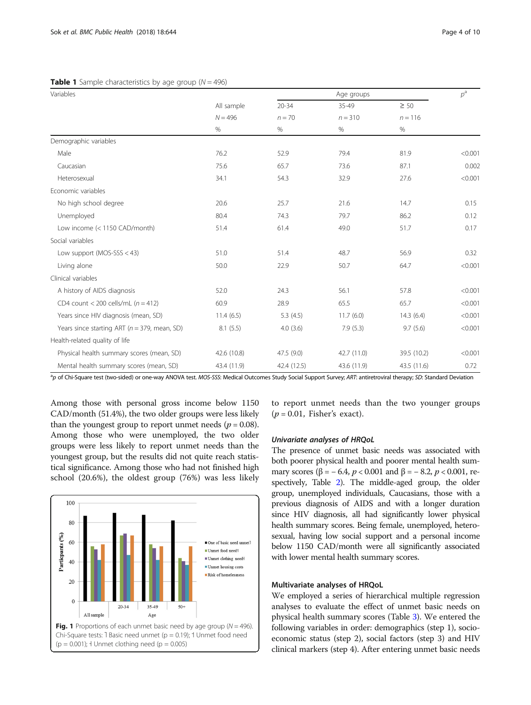| Variables                                        |                   | Age groups  |                   |                   | $p^{\rm a}$ |
|--------------------------------------------------|-------------------|-------------|-------------------|-------------------|-------------|
|                                                  | All sample        | $20 - 34$   | 35-49             | $\geq 50$         |             |
|                                                  | $N = 496$<br>$\%$ | $n = 70$    | $n = 310$<br>$\%$ | $n = 116$<br>$\%$ |             |
|                                                  |                   | $\%$        |                   |                   |             |
| Demographic variables                            |                   |             |                   |                   |             |
| Male                                             | 76.2              | 52.9        | 79.4              | 81.9              | < 0.001     |
| Caucasian                                        | 75.6              | 65.7        | 73.6              | 87.1              | 0.002       |
| Heterosexual                                     | 34.1              | 54.3        | 32.9              | 27.6              | < 0.001     |
| Economic variables                               |                   |             |                   |                   |             |
| No high school degree                            | 20.6              | 25.7        | 21.6              | 14.7              | 0.15        |
| Unemployed                                       | 80.4              | 74.3        | 79.7              | 86.2              | 0.12        |
| Low income (< 1150 CAD/month)                    | 51.4              | 61.4        | 49.0              | 51.7              | 0.17        |
| Social variables                                 |                   |             |                   |                   |             |
| Low support ( $MOS-SSS < 43$ )                   | 51.0              | 51.4        | 48.7              | 56.9              | 0.32        |
| Living alone                                     | 50.0              | 22.9        | 50.7              | 64.7              | < 0.001     |
| Clinical variables                               |                   |             |                   |                   |             |
| A history of AIDS diagnosis                      | 52.0              | 24.3        | 56.1              | 57.8              | < 0.001     |
| CD4 count < 200 cells/mL $(n = 412)$             | 60.9              | 28.9        | 65.5              | 65.7              | < 0.001     |
| Years since HIV diagnosis (mean, SD)             | 11.4(6.5)         | 5.3(4.5)    | 11.7(6.0)         | 14.3(6.4)         | < 0.001     |
| Years since starting ART ( $n = 379$ , mean, SD) | 8.1(5.5)          | 4.0(3.6)    | 7.9(5.3)          | 9.7(5.6)          | < 0.001     |
| Health-related quality of life                   |                   |             |                   |                   |             |
| Physical health summary scores (mean, SD)        | 42.6 (10.8)       | 47.5 (9.0)  | 42.7 (11.0)       | 39.5 (10.2)       | < 0.001     |
| Mental health summary scores (mean, SD)          | 43.4 (11.9)       | 42.4 (12.5) | 43.6 (11.9)       | 43.5 (11.6)       | 0.72        |

#### <span id="page-3-0"></span>**Table 1** Sample characteristics by age group  $(N = 496)$

<sup>a</sup>p of Chi-Square test (two-sided) or one-way ANOVA test. MOS-SSS: Medical Outcomes Study Social Support Survey; ART: antiretroviral therapy; SD: Standard Deviation

Among those with personal gross income below 1150 CAD/month (51.4%), the two older groups were less likely than the youngest group to report unmet needs ( $p = 0.08$ ). Among those who were unemployed, the two older groups were less likely to report unmet needs than the youngest group, but the results did not quite reach statistical significance. Among those who had not finished high school (20.6%), the oldest group (76%) was less likely



to report unmet needs than the two younger groups  $(p = 0.01,$  Fisher's exact).

#### Univariate analyses of HRQoL

The presence of unmet basic needs was associated with both poorer physical health and poorer mental health summary scores ( $\beta$  = – 6.4, p < 0.001 and  $\beta$  = – 8.2, p < 0.001, respectively, Table [2\)](#page-4-0). The middle-aged group, the older group, unemployed individuals, Caucasians, those with a previous diagnosis of AIDS and with a longer duration since HIV diagnosis, all had significantly lower physical health summary scores. Being female, unemployed, heterosexual, having low social support and a personal income below 1150 CAD/month were all significantly associated with lower mental health summary scores.

#### Multivariate analyses of HRQoL

We employed a series of hierarchical multiple regression analyses to evaluate the effect of unmet basic needs on physical health summary scores (Table [3\)](#page-5-0). We entered the following variables in order: demographics (step 1), socioeconomic status (step 2), social factors (step 3) and HIV clinical markers (step 4). After entering unmet basic needs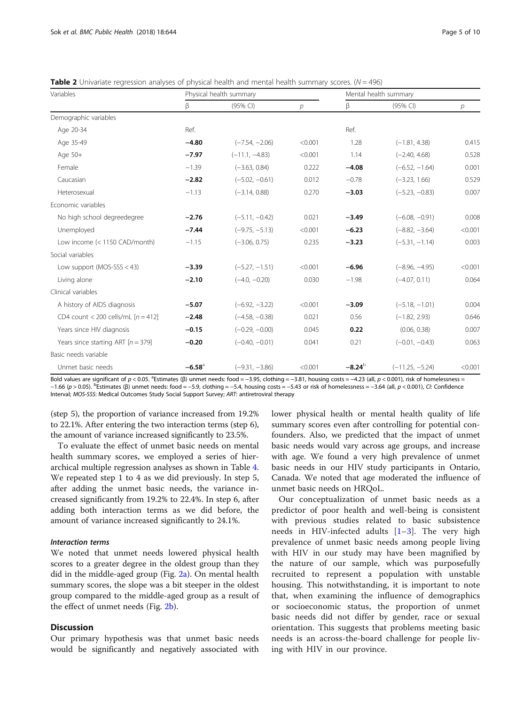<span id="page-4-0"></span>**Table 2** Univariate regression analyses of physical health and mental health summary scores.  $(N = 496)$ 

| Variables                            | Physical health summary |                  |         | Mental health summary |                   |         |
|--------------------------------------|-------------------------|------------------|---------|-----------------------|-------------------|---------|
|                                      | β                       | (95% CI)         | р       | β                     | (95% CI)          | р       |
| Demographic variables                |                         |                  |         |                       |                   |         |
| Age 20-34                            | Ref.                    |                  |         | Ref.                  |                   |         |
| Age 35-49                            | $-4.80$                 | $(-7.54, -2.06)$ | < 0.001 | 1.28                  | $(-1.81, 4.38)$   | 0.415   |
| Age 50+                              | $-7.97$                 | $(-11.1, -4.83)$ | < 0.001 | 1.14                  | $(-2.40, 4.68)$   | 0.528   |
| Female                               | $-1.39$                 | $(-3.63, 0.84)$  | 0.222   | $-4.08$               | $(-6.52, -1.64)$  | 0.001   |
| Caucasian                            | $-2.82$                 | $(-5.02, -0.61)$ | 0.012   | $-0.78$               | $(-3.23, 1.66)$   | 0.529   |
| Heterosexual                         | $-1.13$                 | $(-3.14, 0.88)$  | 0.270   | $-3.03$               | $(-5.23, -0.83)$  | 0.007   |
| Economic variables                   |                         |                  |         |                       |                   |         |
| No high school degreedegree          | $-2.76$                 | $(-5.11, -0.42)$ | 0.021   | $-3.49$               | $(-6.08, -0.91)$  | 0.008   |
| Unemployed                           | $-7.44$                 | $(-9.75, -5.13)$ | < 0.001 | $-6.23$               | $(-8.82, -3.64)$  | < 0.001 |
| Low income (< 1150 CAD/month)        | $-1.15$                 | $(-3.06, 0.75)$  | 0.235   | $-3.23$               | $(-5.31, -1.14)$  | 0.003   |
| Social variables                     |                         |                  |         |                       |                   |         |
| Low support ( $MOS-SSS < 43$ )       | $-3.39$                 | $(-5.27, -1.51)$ | < 0.001 | $-6.96$               | $(-8.96, -4.95)$  | < 0.001 |
| Living alone                         | $-2.10$                 | $(-4.0, -0.20)$  | 0.030   | $-1.98$               | $(-4.07, 0.11)$   | 0.064   |
| Clinical variables                   |                         |                  |         |                       |                   |         |
| A history of AIDS diagnosis          | $-5.07$                 | $(-6.92, -3.22)$ | < 0.001 | $-3.09$               | $(-5.18, -1.01)$  | 0.004   |
| CD4 count < 200 cells/mL $[n = 412]$ | $-2.48$                 | $(-4.58, -0.38)$ | 0.021   | 0.56                  | $(-1.82, 2.93)$   | 0.646   |
| Years since HIV diagnosis            | $-0.15$                 | $(-0.29, -0.00)$ | 0.045   | 0.22                  | (0.06, 0.38)      | 0.007   |
| Years since starting ART $[n = 379]$ | $-0.20$                 | $(-0.40, -0.01)$ | 0.041   | 0.21                  | $(-0.01, -0.43)$  | 0.063   |
| Basic needs variable                 |                         |                  |         |                       |                   |         |
| Unmet basic needs                    | $-6.58$ <sup>a</sup>    | $(-9.31, -3.86)$ | < 0.001 | $-8.24b$              | $(-11.25, -5.24)$ | < 0.001 |

Bold values are significant of  $p < 0.05$ . <sup>a</sup>Estimates (β) unmet needs: food = -3.95, clothing = -3.81, housing costs = -4.23 (all,  $p < 0.001$ ), risk of homelessness = −1.66 (p > 0.05). <sup>b</sup> Estimates (β) unmet needs: food = −5.9, clothing = −5.4, housing costs = −5.43 or risk of homelessness = −3.64 (all, p < 0.001), CI: Confidence Interval; MOS-SSS: Medical Outcomes Study Social Support Survey; ART: antiretroviral therapy

(step 5), the proportion of variance increased from 19.2% to 22.1%. After entering the two interaction terms (step 6), the amount of variance increased significantly to 23.5%.

To evaluate the effect of unmet basic needs on mental health summary scores, we employed a series of hierarchical multiple regression analyses as shown in Table [4](#page-6-0). We repeated step 1 to 4 as we did previously. In step 5, after adding the unmet basic needs, the variance increased significantly from 19.2% to 22.4%. In step 6, after adding both interaction terms as we did before, the amount of variance increased significantly to 24.1%.

#### Interaction terms

We noted that unmet needs lowered physical health scores to a greater degree in the oldest group than they did in the middle-aged group (Fig.  $2a$ ). On mental health summary scores, the slope was a bit steeper in the oldest group compared to the middle-aged group as a result of the effect of unmet needs (Fig. [2b\)](#page-6-0).

#### **Discussion**

Our primary hypothesis was that unmet basic needs would be significantly and negatively associated with lower physical health or mental health quality of life summary scores even after controlling for potential confounders. Also, we predicted that the impact of unmet basic needs would vary across age groups, and increase with age. We found a very high prevalence of unmet basic needs in our HIV study participants in Ontario, Canada. We noted that age moderated the influence of unmet basic needs on HRQoL.

Our conceptualization of unmet basic needs as a predictor of poor health and well-being is consistent with previous studies related to basic subsistence needs in HIV-infected adults  $[1-3]$  $[1-3]$  $[1-3]$  $[1-3]$ . The very high prevalence of unmet basic needs among people living with HIV in our study may have been magnified by the nature of our sample, which was purposefully recruited to represent a population with unstable housing. This notwithstanding, it is important to note that, when examining the influence of demographics or socioeconomic status, the proportion of unmet basic needs did not differ by gender, race or sexual orientation. This suggests that problems meeting basic needs is an across-the-board challenge for people living with HIV in our province.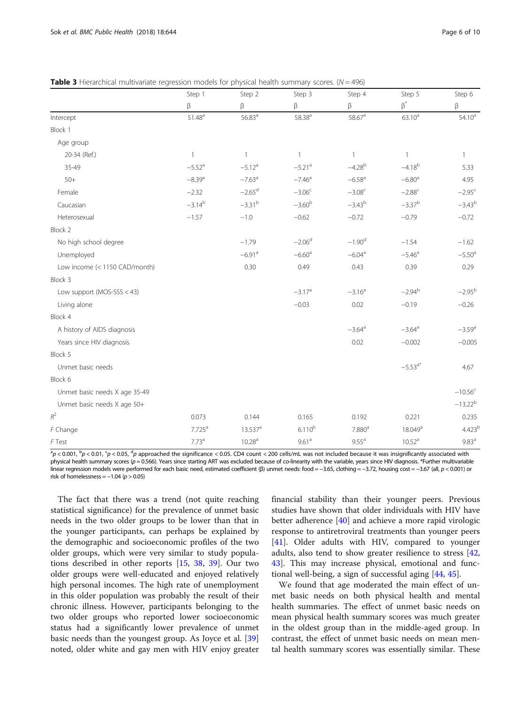<span id="page-5-0"></span>**Table 3** Hierarchical multivariate regression models for physical health summary scores.  $(N = 496)$ 

|                               | Step 1<br>β          | Step 2<br>β           | Step 3<br>$\beta$    | Step 4<br>$\beta$    | Step 5<br>$\beta^*$  | Step 6<br>$\beta$    |
|-------------------------------|----------------------|-----------------------|----------------------|----------------------|----------------------|----------------------|
|                               |                      |                       |                      |                      |                      |                      |
| Intercept                     | $51.48^{\rm a}$      | 56.83 <sup>a</sup>    | $58.38^{a}$          | $58.67^{\rm a}$      | $63.10^{a}$          | $54.10^a$            |
| Block 1                       |                      |                       |                      |                      |                      |                      |
| Age group                     |                      |                       |                      |                      |                      |                      |
| 20-34 (Ref.)                  | $\mathbf{1}$         | $\mathbf{1}$          | $\mathbf{1}$         | $\overline{1}$       | $\mathbf{1}$         | $\mathbf{1}$         |
| 35-49                         | $-5.52$ <sup>a</sup> | $-5.12$ <sup>a</sup>  | $-5.21$ <sup>a</sup> | $-4.28^{b}$          | $-4.18^{b}$          | 5.33                 |
| $50+$                         | $-8.39$ <sup>a</sup> | $-7.63$ <sup>a</sup>  | $-7.46$ <sup>a</sup> | $-6.58$ <sup>a</sup> | $-6.80$ <sup>a</sup> | 4.95                 |
| Female                        | $-2.32$              | $-2.65$ <sup>d</sup>  | $-3.06^c$            | $-3.08^c$            | $-2.88^c$            | $-2.95^c$            |
| Caucasian                     | $-3.14^{b}$          | $-3.31^{b}$           | $-3.60^{b}$          | $-3.43^{b}$          | $-3.37^{b}$          | $-3.43^{b}$          |
| Heterosexual                  | $-1.57$              | $-1.0$                | $-0.62$              | $-0.72$              | $-0.79$              | $-0.72$              |
| Block 2                       |                      |                       |                      |                      |                      |                      |
| No high school degree         |                      | $-1.79$               | $-2.06d$             | $-1.90d$             | $-1.54$              | $-1.62$              |
| Unemployed                    |                      | $-6.91$ <sup>a</sup>  | $-6.60$ <sup>a</sup> | $-6.04$ <sup>a</sup> | $-5.46$ <sup>a</sup> | $-5.50$ <sup>a</sup> |
| Low income (< 1150 CAD/month) |                      | 0.30                  | 0.49                 | 0.43                 | 0.39                 | 0.29                 |
| Block 3                       |                      |                       |                      |                      |                      |                      |
| Low support (MOS-SSS < 43)    |                      |                       | $-3.17$ <sup>a</sup> | $-3.16^a$            | $-2.94^{b}$          | $-2.95^{b}$          |
| Living alone                  |                      |                       | $-0.03$              | 0.02                 | $-0.19$              | $-0.26$              |
| Block 4                       |                      |                       |                      |                      |                      |                      |
| A history of AIDS diagnosis   |                      |                       |                      | $-3.64$ <sup>a</sup> | $-3.64$ <sup>a</sup> | $-3.59$ <sup>a</sup> |
| Years since HIV diagnosis     |                      |                       |                      | 0.02                 | $-0.002$             | $-0.005$             |
| Block 5                       |                      |                       |                      |                      |                      |                      |
| Unmet basic needs             |                      |                       |                      |                      | $-5.53^{a*}$         | 4.67                 |
| Block 6                       |                      |                       |                      |                      |                      |                      |
| Unmet basic needs X age 35-49 |                      |                       |                      |                      |                      | $-10.56c$            |
| Unmet basic needs X age 50+   |                      |                       |                      |                      |                      | $-13.22^{b}$         |
| $R^2$                         | 0.073                | 0.144                 | 0.165                | 0.192                | 0.221                | 0.235                |
| F Change                      | $7.725^a$            | $13.537$ <sup>a</sup> | $6.110^{b}$          | 7.880 <sup>a</sup>   | 18.049a              | 4.423 <sup>k</sup>   |
| F Test                        | 7.73 <sup>a</sup>    | 10.28 <sup>a</sup>    | 9.61 <sup>a</sup>    | $9.55^{\text{a}}$    | 10.52 <sup>a</sup>   | 9.83 <sup>a</sup>    |

 ${}^{3}p$  < 0.001,  ${}^{b}p$  < 0.01,  ${}^{c}p$  < 0.05,  ${}^{d}p$  approached the significance < 0.05. CD4 count < 200 cells/mL was not included because it was insignificantly associated with physical health summary scores ( $p = 0.566$ ). Years since starting ART was excluded because of co-linearity with the variable, years since HIV diagnosis. \*Further multivariable linear regression models were performed for each basic need, estimated coefficient (β) unmet needs: food = −3.65, clothing = −3.72, housing cost = −3.67 (all, p < 0.001) or risk of homelessness =  $-1.04$  ( $p > 0.05$ )

The fact that there was a trend (not quite reaching statistical significance) for the prevalence of unmet basic needs in the two older groups to be lower than that in the younger participants, can perhaps be explained by the demographic and socioeconomic profiles of the two older groups, which were very similar to study populations described in other reports [[15,](#page-8-0) [38](#page-8-0), [39](#page-8-0)]. Our two older groups were well-educated and enjoyed relatively high personal incomes. The high rate of unemployment in this older population was probably the result of their chronic illness. However, participants belonging to the two older groups who reported lower socioeconomic status had a significantly lower prevalence of unmet basic needs than the youngest group. As Joyce et al. [[39](#page-8-0)] noted, older white and gay men with HIV enjoy greater

financial stability than their younger peers. Previous studies have shown that older individuals with HIV have better adherence [[40\]](#page-8-0) and achieve a more rapid virologic response to antiretroviral treatments than younger peers [[41\]](#page-8-0). Older adults with HIV, compared to younger adults, also tend to show greater resilience to stress [[42](#page-8-0), [43\]](#page-9-0). This may increase physical, emotional and functional well-being, a sign of successful aging [[44](#page-9-0), [45](#page-9-0)].

We found that age moderated the main effect of unmet basic needs on both physical health and mental health summaries. The effect of unmet basic needs on mean physical health summary scores was much greater in the oldest group than in the middle-aged group. In contrast, the effect of unmet basic needs on mean mental health summary scores was essentially similar. These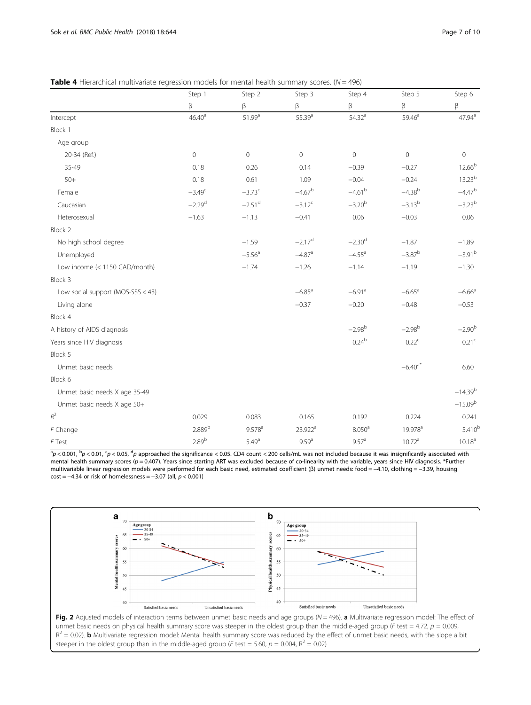<span id="page-6-0"></span>

|                                     | Step 1             | Step 2               | Step 3               | Step 4               | Step 5               | Step 6             |
|-------------------------------------|--------------------|----------------------|----------------------|----------------------|----------------------|--------------------|
|                                     | β                  | β                    | β                    | β                    | β                    | $\beta$            |
| Intercept                           | 46.40 <sup>a</sup> | 51.99 <sup>a</sup>   | $55.39^{a}$          | 54.32 <sup>a</sup>   | 59.46 <sup>a</sup>   | $47.94^{\text{a}}$ |
| Block 1                             |                    |                      |                      |                      |                      |                    |
| Age group                           |                    |                      |                      |                      |                      |                    |
| 20-34 (Ref.)                        | $\circ$            | $\mathbb O$          | $\mathbf 0$          | $\mathbf 0$          | $\mathbf 0$          | 0                  |
| 35-49                               | 0.18               | 0.26                 | 0.14                 | $-0.39$              | $-0.27$              | 12.66 <sup>b</sup> |
| $50+$                               | 0.18               | 0.61                 | 1.09                 | $-0.04$              | $-0.24$              | $13.23^{b}$        |
| Female                              | $-3.49^c$          | $-3.73^{c}$          | $-4.67^b$            | $-4.61^{\rm b}$      | $-4.38^{b}$          | $-4.47^b$          |
| Caucasian                           | $-2.29d$           | $-2.51$ <sup>d</sup> | $-3.12^{c}$          | $-3.20^{b}$          | $-3.13^{b}$          | $-3.23^{b}$        |
| Heterosexual                        | $-1.63$            | $-1.13$              | $-0.41$              | 0.06                 | $-0.03$              | 0.06               |
| Block 2                             |                    |                      |                      |                      |                      |                    |
| No high school degree               |                    | $-1.59$              | $-2.17^{d}$          | $-2.30d$             | $-1.87$              | $-1.89$            |
| Unemployed                          |                    | $-5.56$ <sup>a</sup> | $-4.87$ <sup>a</sup> | $-4.55$ <sup>a</sup> | $-3.87^{b}$          | $-3.91b$           |
| Low income (< 1150 CAD/month)       |                    | $-1.74$              | $-1.26$              | $-1.14$              | $-1.19$              | $-1.30$            |
| Block 3                             |                    |                      |                      |                      |                      |                    |
| Low social support (MOS-SSS $<$ 43) |                    |                      | $-6.85$ <sup>a</sup> | $-6.91$ <sup>a</sup> | $-6.65$ <sup>a</sup> | $-6.66a$           |
| Living alone                        |                    |                      | $-0.37$              | $-0.20$              | $-0.48$              | $-0.53$            |
| Block 4                             |                    |                      |                      |                      |                      |                    |
| A history of AIDS diagnosis         |                    |                      |                      | $-2.98^{b}$          | $-2.98^{b}$          | $-2.90^{b}$        |
| Years since HIV diagnosis           |                    |                      |                      | $0.24^{b}$           | $0.22^c$             | 0.21 <sup>c</sup>  |
| Block 5                             |                    |                      |                      |                      |                      |                    |
| Unmet basic needs                   |                    |                      |                      |                      | $-6.40^{a*}$         | 6.60               |
| Block 6                             |                    |                      |                      |                      |                      |                    |
| Unmet basic needs X age 35-49       |                    |                      |                      |                      |                      | $-14.39^{b}$       |
| Unmet basic needs X age 50+         |                    |                      |                      |                      |                      | $-15.09^{b}$       |
| $R^2$                               | 0.029              | 0.083                | 0.165                | 0.192                | 0.224                | 0.241              |
| F Change                            | 2.889b             | $9.578$ <sup>a</sup> | 23.922 <sup>a</sup>  | 8.050 <sup>a</sup>   | 19.978 <sup>a</sup>  | $5.410^{k}$        |
| F Test                              | 2.89 <sup>b</sup>  | 5.49 <sup>a</sup>    | 9.59 <sup>a</sup>    | 9.57 <sup>a</sup>    | 10.72 <sup>a</sup>   | $10.18^{a}$        |

 ${}^{3}p$  < 0.001,  ${}^{b}p$  < 0.01,  ${}^{c}p$  < 0.05,  ${}^{d}p$  approached the significance < 0.05. CD4 count < 200 cells/mL was not included because it was insignificantly associated with mental health summary scores ( $p = 0.407$ ). Years since starting ART was excluded because of co-linearity with the variable, years since HIV diagnosis. \*Further multivariable linear regression models were performed for each basic need, estimated coefficient (β) unmet needs: food = −4.10, clothing = −3.39, housing  $cost = -4.34$  or risk of homelessness =  $-3.07$  (all,  $p < 0.001$ )



steeper in the oldest group than in the middle-aged group (F test = 5.60,  $p = 0.004$ ,  $R^2 = 0.02$ )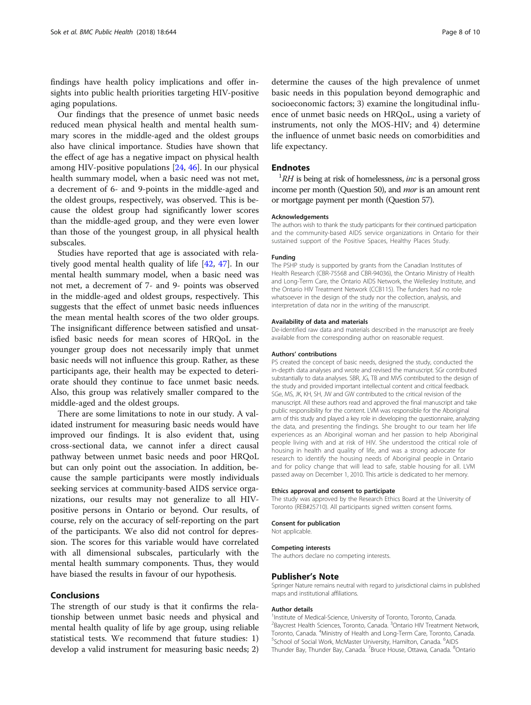findings have health policy implications and offer insights into public health priorities targeting HIV-positive aging populations.

Our findings that the presence of unmet basic needs reduced mean physical health and mental health summary scores in the middle-aged and the oldest groups also have clinical importance. Studies have shown that the effect of age has a negative impact on physical health among HIV-positive populations [\[24](#page-8-0), [46](#page-9-0)]. In our physical health summary model, when a basic need was not met, a decrement of 6- and 9-points in the middle-aged and the oldest groups, respectively, was observed. This is because the oldest group had significantly lower scores than the middle-aged group, and they were even lower than those of the youngest group, in all physical health subscales.

Studies have reported that age is associated with relatively good mental health quality of life [\[42](#page-8-0), [47\]](#page-9-0). In our mental health summary model, when a basic need was not met, a decrement of 7- and 9- points was observed in the middle-aged and oldest groups, respectively. This suggests that the effect of unmet basic needs influences the mean mental health scores of the two older groups. The insignificant difference between satisfied and unsatisfied basic needs for mean scores of HRQoL in the younger group does not necessarily imply that unmet basic needs will not influence this group. Rather, as these participants age, their health may be expected to deteriorate should they continue to face unmet basic needs. Also, this group was relatively smaller compared to the middle-aged and the oldest groups.

There are some limitations to note in our study. A validated instrument for measuring basic needs would have improved our findings. It is also evident that, using cross-sectional data, we cannot infer a direct causal pathway between unmet basic needs and poor HRQoL but can only point out the association. In addition, because the sample participants were mostly individuals seeking services at community-based AIDS service organizations, our results may not generalize to all HIVpositive persons in Ontario or beyond. Our results, of course, rely on the accuracy of self-reporting on the part of the participants. We also did not control for depression. The scores for this variable would have correlated with all dimensional subscales, particularly with the mental health summary components. Thus, they would have biased the results in favour of our hypothesis.

#### Conclusions

The strength of our study is that it confirms the relationship between unmet basic needs and physical and mental health quality of life by age group, using reliable statistical tests. We recommend that future studies: 1) develop a valid instrument for measuring basic needs; 2)

determine the causes of the high prevalence of unmet basic needs in this population beyond demographic and socioeconomic factors; 3) examine the longitudinal influence of unmet basic needs on HRQoL, using a variety of instruments, not only the MOS-HIV; and 4) determine the influence of unmet basic needs on comorbidities and life expectancy.

#### **Endnotes**

 ${}^{1}RH$  is being at risk of homelessness, *inc* is a personal gross income per month (Question 50), and mor is an amount rent or mortgage payment per month (Question 57).

#### Acknowledgements

The authors wish to thank the study participants for their continued participation and the community-based AIDS service organizations in Ontario for their sustained support of the Positive Spaces, Healthy Places Study.

#### Funding

The PSHP study is supported by grants from the Canadian Institutes of Health Research (CBR-75568 and CBR-94036), the Ontario Ministry of Health and Long-Term Care, the Ontario AIDS Network, the Wellesley Institute, and the Ontario HIV Treatment Network (CCB115). The funders had no role whatsoever in the design of the study nor the collection, analysis, and interpretation of data nor in the writing of the manuscript.

#### Availability of data and materials

De-identified raw data and materials described in the manuscript are freely available from the corresponding author on reasonable request.

#### Authors' contributions

PS created the concept of basic needs, designed the study, conducted the in-depth data analyses and wrote and revised the manuscript. SGr contributed substantially to data analyses. SBR, JG, TB and MVS contributed to the design of the study and provided important intellectual content and critical feedback. SGe, MS, JK, KH, SH, JW and GW contributed to the critical revision of the manuscript. All these authors read and approved the final manuscript and take public responsibility for the content. LVM was responsible for the Aboriginal arm of this study and played a key role in developing the questionnaire, analyzing the data, and presenting the findings. She brought to our team her life experiences as an Aboriginal woman and her passion to help Aboriginal people living with and at risk of HIV. She understood the critical role of housing in health and quality of life, and was a strong advocate for research to identify the housing needs of Aboriginal people in Ontario and for policy change that will lead to safe, stable housing for all. LVM passed away on December 1, 2010. This article is dedicated to her memory.

#### Ethics approval and consent to participate

The study was approved by the Research Ethics Board at the University of Toronto (REB#25710). All participants signed written consent forms.

#### Consent for publication

Not applicable.

#### Competing interests

The authors declare no competing interests.

#### Publisher's Note

Springer Nature remains neutral with regard to jurisdictional claims in published maps and institutional affiliations.

#### Author details

<sup>1</sup>Institute of Medical-Science, University of Toronto, Toronto, Canada. <sup>2</sup>Baycrest Health Sciences, Toronto, Canada. <sup>3</sup>Ontario HIV Treatment Network Toronto, Canada. <sup>4</sup> Ministry of Health and Long-Term Care, Toronto, Canada.<br><sup>5</sup> School of Social Work, McMaster University, Hamilton, Canada. <sup>6</sup> NDS. School of Social Work, McMaster University, Hamilton, Canada. <sup>6</sup>AIDS Thunder Bay, Thunder Bay, Canada. <sup>7</sup> Bruce House, Ottawa, Canada. <sup>8</sup> Ontario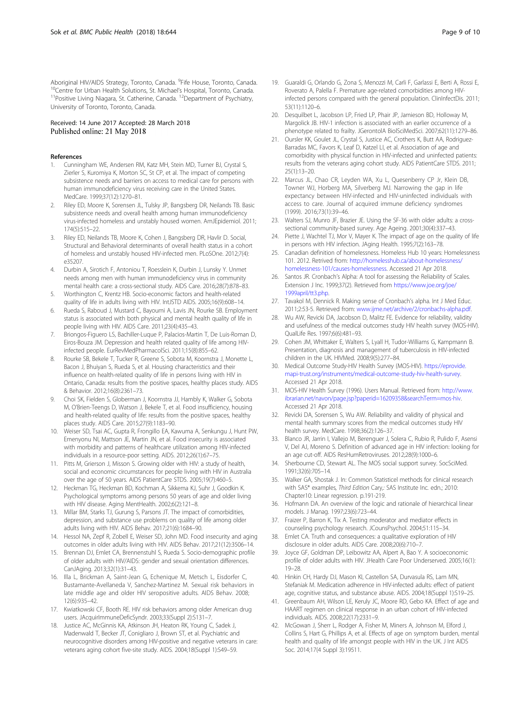<span id="page-8-0"></span>Aboriginal HIV/AIDS Strategy, Toronto, Canada. <sup>9</sup>Fife House, Toronto, Canada. <sup>10</sup>Centre for Urban Health Solutions, St. Michael's Hospital, Toronto, Canada.<br><sup>11</sup>Positive Living Niagara, St. Catherine, Canada. <sup>12</sup>Department of Psychiatry, University of Toronto, Toronto, Canada.

#### Received: 14 June 2017 Accepted: 28 March 2018 Published online: 21 May 2018

#### References

- 1. Cunningham WE, Andersen RM, Katz MH, Stein MD, Turner BJ, Crystal S, Zierler S, Kuromiya K, Morton SC, St CP, et al. The impact of competing subsistence needs and barriers on access to medical care for persons with human immunodeficiency virus receiving care in the United States. MedCare. 1999;37(12):1270–81.
- 2. Riley ED, Moore K, Sorensen JL, Tulsky JP, Bangsberg DR, Neilands TB. Basic subsistence needs and overall health among human immunodeficiency virus-infected homeless and unstably housed women. AmJEpidemiol. 2011; 174(5):515–22.
- 3. Riley ED, Neilands TB, Moore K, Cohen J, Bangsberg DR, Havlir D. Social, Structural and Behavioral determinants of overall health status in a cohort of homeless and unstably housed HIV-infected men. PLoSOne. 2012;7(4): e35207.
- 4. Durbin A, Sirotich F, Antoniou T, Roesslein K, Durbin J, Lunsky Y. Unmet needs among men with human immunodeficiency virus in community mental health care: a cross-sectional study. AIDS Care. 2016;28(7):878–83.
- 5. Worthington C, Krentz HB. Socio-economic factors and health-related quality of life in adults living with HIV. IntJSTD AIDS. 2005;16(9):608–14.
- 6. Rueda S, Raboud J, Mustard C, Bayoumi A, Lavis JN, Rourke SB. Employment status is associated with both physical and mental health quality of life in people living with HIV. AIDS Care. 2011;23(4):435–43.
- 7. Briongos-Figuero LS, Bachiller-Luque P, Palacios-Martin T, De Luis-Roman D, Eiros-Bouza JM. Depression and health related quality of life among HIVinfected people. EurRevMedPharmacolSci. 2011;15(8):855–62.
- 8. Rourke SB, Bekele T, Tucker R, Greene S, Sobota M, Koornstra J, Monette L, Bacon J, Bhuiyan S, Rueda S, et al. Housing characteristics and their influence on health-related quality of life in persons living with HIV in Ontario, Canada: results from the positive spaces, healthy places study. AIDS & Behavior. 2012;16(8):2361–73.
- 9. Choi SK, Fielden S, Globerman J, Koornstra JJ, Hambly K, Walker G, Sobota M, O'Brien-Teengs D, Watson J, Bekele T, et al. Food insufficiency, housing and health-related quality of life: results from the positive spaces, healthy places study. AIDS Care. 2015;27(9):1183–90.
- 10. Weiser SD, Tsai AC, Gupta R, Frongillo EA, Kawuma A, Senkungu J, Hunt PW, Emenyonu NI, Mattson JE, Martin JN, et al. Food insecurity is associated with morbidity and patterns of healthcare utilization among HIV-infected individuals in a resource-poor setting. AIDS. 2012;26(1):67–75.
- 11. Pitts M, Grierson J, Misson S. Growing older with HIV: a study of health, social and economic circumstances for people living with HIV in Australia over the age of 50 years. AIDS PatientCare STDS. 2005;19(7):460–5.
- 12. Heckman TG, Heckman BD, Kochman A, Sikkema KJ, Suhr J, Goodkin K. Psychological symptoms among persons 50 years of age and older living with HIV disease. Aging MentHealth. 2002;6(2):121–8.
- 13. Millar BM, Starks TJ, Gurung S, Parsons JT. The impact of comorbidities, depression, and substance use problems on quality of life among older adults living with HIV. AIDS Behav. 2017;21(6):1684–90.
- 14. Hessol NA, Zepf R, Zobell E, Weiser SD, John MD. Food insecurity and aging outcomes in older adults living with HIV. AIDS Behav. 2017;21(12):3506–14.
- 15. Brennan DJ, Emlet CA, Brennenstuhl S, Rueda S. Socio-demographic profile of older adults with HIV/AIDS: gender and sexual orientation differences. CanJAging. 2013;32(1):31–43.
- 16. Illa L, Brickman A, Saint-Jean G, Echenique M, Metsch L, Eisdorfer C, Bustamante-Avellaneda V, Sanchez-Martinez M. Sexual risk behaviors in late middle age and older HIV seropositive adults. AIDS Behav. 2008; 12(6):935–42.
- 17. Kwiatkowski CF, Booth RE. HIV risk behaviors among older American drug users. JAcquirImmuneDeficSyndr. 2003;33(Suppl 2):S131–7.
- 18. Justice AC, McGinnis KA, Atkinson JH, Heaton RK, Young C, Sadek J, Madenwald T, Becker JT, Conigliaro J, Brown ST, et al. Psychiatric and neurocognitive disorders among HIV-positive and negative veterans in care: veterans aging cohort five-site study. AIDS. 2004;18(Suppl 1):S49–59.
- 19. Guaraldi G, Orlando G, Zona S, Menozzi M, Carli F, Garlassi E, Berti A, Rossi E, Roverato A, Palella F. Premature age-related comorbidities among HIVinfected persons compared with the general population. ClinInfectDis. 2011; 53(11):1120–6.
- 20. Desquilbet L, Jacobson LP, Fried LP, Phair JP, Jamieson BD, Holloway M, Margolick JB. HIV-1 infection is associated with an earlier occurrence of a phenotype related to frailty. JGerontolA BiolSciMedSci. 2007;62(11):1279–86.
- 21. Oursler KK, Goulet JL, Crystal S, Justice AC, Crothers K, Butt AA, Rodriguez-Barradas MC, Favors K, Leaf D, Katzel LI, et al. Association of age and comorbidity with physical function in HIV-infected and uninfected patients: results from the veterans aging cohort study. AIDS PatientCare STDS. 2011; 25(1):13–20.
- 22. Marcus JL, Chao CR, Leyden WA, Xu L, Quesenberry CP Jr, Klein DB, Towner WJ, Horberg MA, Silverberg MJ. Narrowing the gap in life expectancy between HIV-infected and HIV-uninfected individuals with access to care. Journal of acquired immune deficiency syndromes (1999). 2016;73(1):39–46.
- 23. Walters SJ, Munro JF, Brazier JE. Using the SF-36 with older adults: a crosssectional community-based survey. Age Ageing. 2001;30(4):337–43.
- 24. Piette J, Wachtel TJ, Mor V, Mayer K. The impact of age on the quality of life in persons with HIV infection. JAging Health. 1995;7(2):163–78.
- 25. Canadian definition of homelessness. Homeless Hub 10 years: Homelessness 101. 2012. Retrived from: [http://homelesshub.ca/about-homelessness/](http://homelesshub.ca/about-homelessness/homelessness-101/causes-homelessness) [homelessness-101/causes-homelessness.](http://homelesshub.ca/about-homelessness/homelessness-101/causes-homelessness) Accessed 21 Apr 2018.
- 26. Santos JR. Cronbach's Alpha: A tool for assessing the Reliability of Scales. Extension J Inc. 1999;37(2). Retrieved from [https://www.joe.org/joe/](https://www.joe.org/joe/1999april/tt3.php) [1999april/tt3.php](https://www.joe.org/joe/1999april/tt3.php).
- 27. Tavakol M, Dennick R. Making sense of Cronbach's alpha. Int J Med Educ. 2011;2:53-5. Retrieved from: [www.ijme.net/archive/2/cronbachs-alpha.pdf](http://www.ijme.net/archive/2/cronbachs-alpha.pdf).
- 28. Wu AW, Revicki DA, Jacobson D, Malitz FE. Evidence for reliability, validity and usefulness of the medical outcomes study HIV health survey (MOS-HIV). QualLife Res. 1997;6(6):481–93.
- 29. Cohen JM, Whittaker E, Walters S, Lyall H, Tudor-Williams G, Kampmann B. Presentation, diagnosis and management of tuberculosis in HIV-infected children in the UK. HIVMed. 2008;9(5):277–84.
- 30. Medical Outcome Study-HIV Health Survey (MOS-HIV). [https://eprovide.](https://eprovide.mapi-trust.org/instruments/medical-outcome-study-hiv-health-survey) [mapi-trust.org/instruments/medical-outcome-study-hiv-health-survey](https://eprovide.mapi-trust.org/instruments/medical-outcome-study-hiv-health-survey). Accessed 21 Apr 2018.
- 31. MOS-HIV Health Survey (1996). Users Manual. Retrieved from: [http://www.](http://www.ibrarian.net/navon/page.jsp?paperid=16209358&searchTerm=mos-hiv) [ibrarian.net/navon/page.jsp?paperid=16209358&searchTerm=mos-hiv.](http://www.ibrarian.net/navon/page.jsp?paperid=16209358&searchTerm=mos-hiv) Accessed 21 Apr 2018.
- 32. Revicki DA, Sorensen S, Wu AW. Reliability and validity of physical and mental health summary scores from the medical outcomes study HIV health survey. MedCare. 1998;36(2):126–37.
- 33. Blanco JR, Jarrin I, Vallejo M, Berenguer J, Solera C, Rubio R, Pulido F, Asensi V, Del AJ, Moreno S. Definition of advanced age in HIV infection: looking for an age cut-off. AIDS ResHumRetroviruses. 2012;28(9):1000–6.
- 34. Sherbourne CD, Stewart AL. The MOS social support survey. SocSciMed. 1991;32(6):705–14.
- 35. Walker GA, Shostak J. In: Common Statisticel methods for clinical research with SAS\* examples, Third Edition Cary,: SAS Institute Inc. edn.; 2010: Chapter10: Linear regression. p.191-219.
- 36. Hofmann DA. An overview of the logic and rationale of hierarchical linear models. J Manag. 1997;23(6):723–44.
- 37. Fraizer P, Barron K, Tix A. Testing moderator and mediator effects in counseling psychology research. JCounsPsychol. 2004;51:115–34.
- 38. Emlet CA. Truth and consequences: a qualitative exploration of HIV disclosure in older adults. AIDS Care. 2008;20(6):710–7.
- 39. Joyce GF, Goldman DP, Leibowitz AA, Alpert A, Bao Y. A socioeconomic profile of older adults with HIV. JHealth Care Poor Underserved. 2005;16(1): 19–28.
- 40. Hinkin CH, Hardy DJ, Mason KI, Castellon SA, Durvasula RS, Lam MN, Stefaniak M. Medication adherence in HIV-infected adults: effect of patient age, cognitive status, and substance abuse. AIDS. 2004;18(Suppl 1):S19–25.
- 41. Greenbaum AH, Wilson LE, Keruly JC, Moore RD, Gebo KA. Effect of age and HAART regimen on clinical response in an urban cohort of HIV-infected individuals. AIDS. 2008;22(17):2331–9.
- 42. McGowan J, Sherr L, Rodger A, Fisher M, Miners A, Johnson M, Elford J, Collins S, Hart G, Phillips A, et al. Effects of age on symptom burden, mental health and quality of life amongst people with HIV in the UK. J Int AIDS Soc. 2014;17(4 Suppl 3):19511.